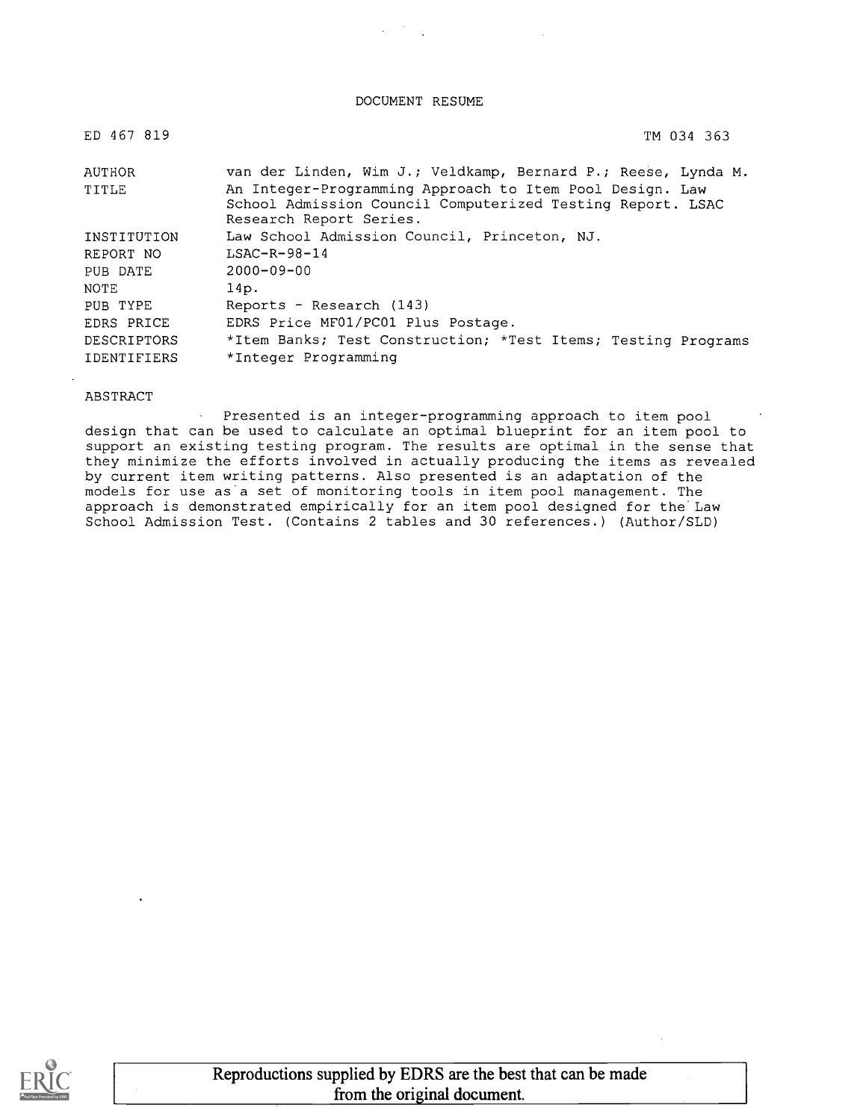#### DOCUMENT RESUME

| ED 467 819         | TM 034 363                                                                                                                                        |
|--------------------|---------------------------------------------------------------------------------------------------------------------------------------------------|
| AUTHOR             | van der Linden, Wim J.; Veldkamp, Bernard P.; Reese, Lynda M.                                                                                     |
| TITLE              | An Integer-Programming Approach to Item Pool Design. Law<br>School Admission Council Computerized Testing Report. LSAC<br>Research Report Series. |
| INSTITUTION        | Law School Admission Council, Princeton, NJ.                                                                                                      |
| REPORT NO          | $LSAC-R-98-14$                                                                                                                                    |
| PUB DATE           | $2000 - 09 - 00$                                                                                                                                  |
| NOTE               | 14p.                                                                                                                                              |
| PUB TYPE           | Reports - Research (143)                                                                                                                          |
| EDRS PRICE         | EDRS Price MF01/PC01 Plus Postage.                                                                                                                |
| <b>DESCRIPTORS</b> | *Item Banks; Test Construction; *Test Items; Testing Programs                                                                                     |
| <b>IDENTIFIERS</b> | *Integer Programming                                                                                                                              |

#### ABSTRACT

Presented is an integer-programming approach to item pool  $\sim$ design that can be used to calculate an optimal blueprint for an item pool to support an existing testing program. The results are optimal in the sense that they minimize the efforts involved in actually producing the items as revealed by current item writing patterns. Also presented is an adaptation of the models for use as'a set of monitoring tools in item pool management. The approach is demonstrated empirically for an item pool designed for the Law School Admission Test. (Contains 2 tables and 30 references.) (Author/SLD)

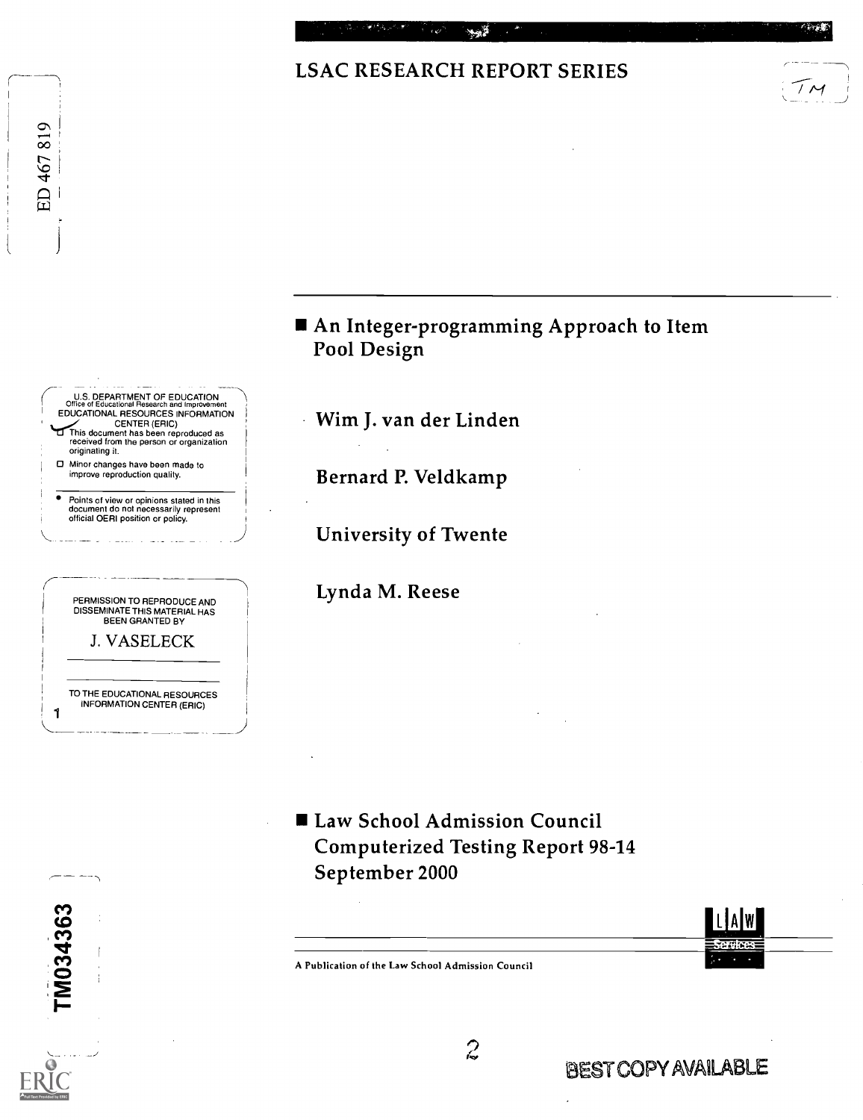## LSAC RESEARCH REPORT SERIES





**Law School Admission Council** Computerized Testing Report 98-14 September 2000



A Publication of the Law School Admission Council

TM034363

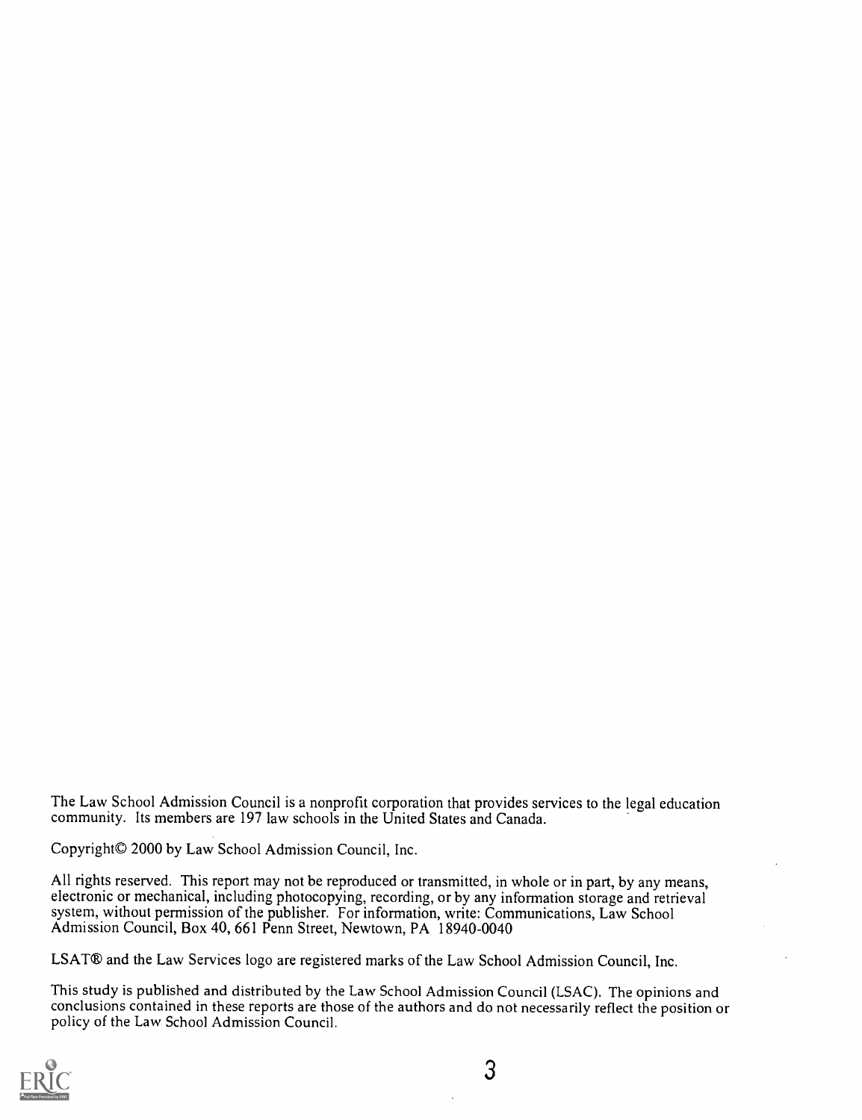The Law School Admission Council is a nonprofit corporation that provides services to the legal education community. Its members are 197 law schools in the United States and Canada.

Copyright© 2000 by Law School Admission Council, Inc.

All rights reserved. This report may not be reproduced or transmitted, in whole or in part, by any means, electronic or mechanical, including photocopying, recording, or by any information storage and retrieval system, without permission of the publisher. For information, write: Communications, Law School Admission Council, Box 40, 661 Penn Street, Newtown, PA 18940-0040

LSAT® and the Law Services logo are registered marks of the Law School Admission Council, Inc.

This study is published and distributed by the Law School Admission Council (LSAC). The opinions and conclusions contained in these reports are those of the authors and do not necessarily reflect the position or policy of the Law School Admission Council.

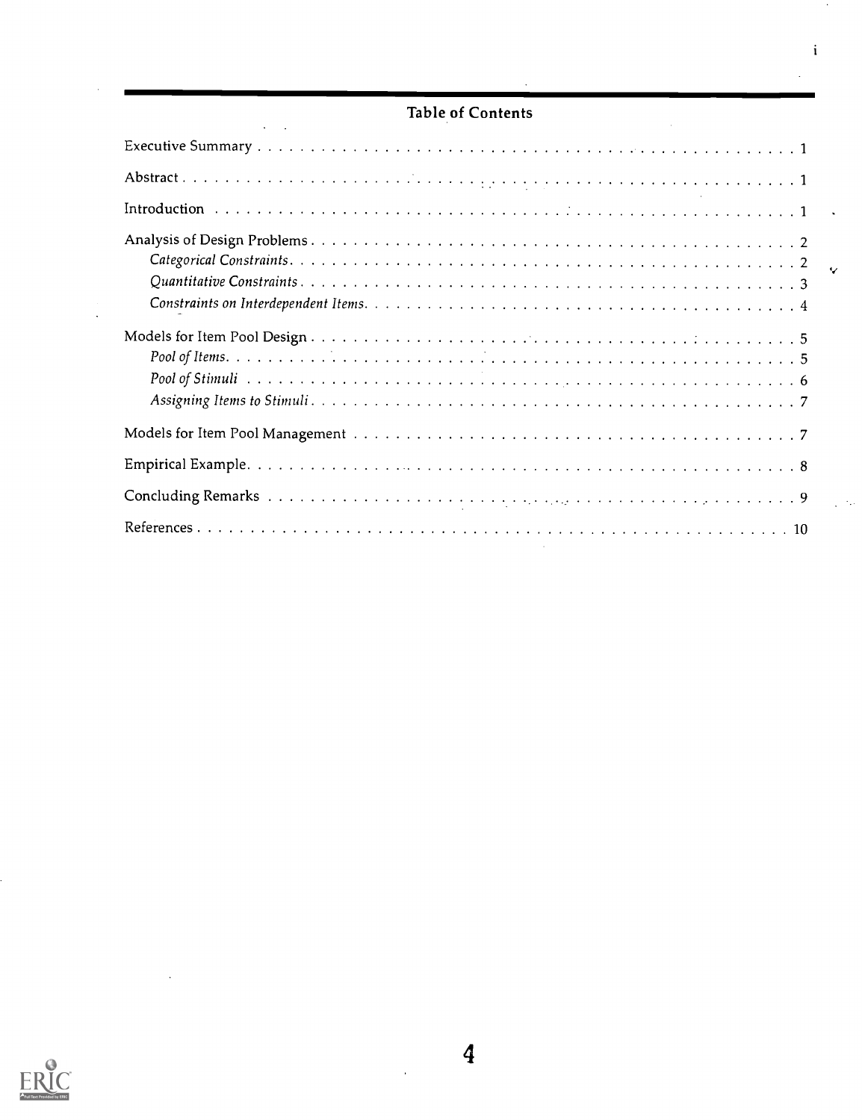### Table of Contents

 $\mathbf i$ 

l.

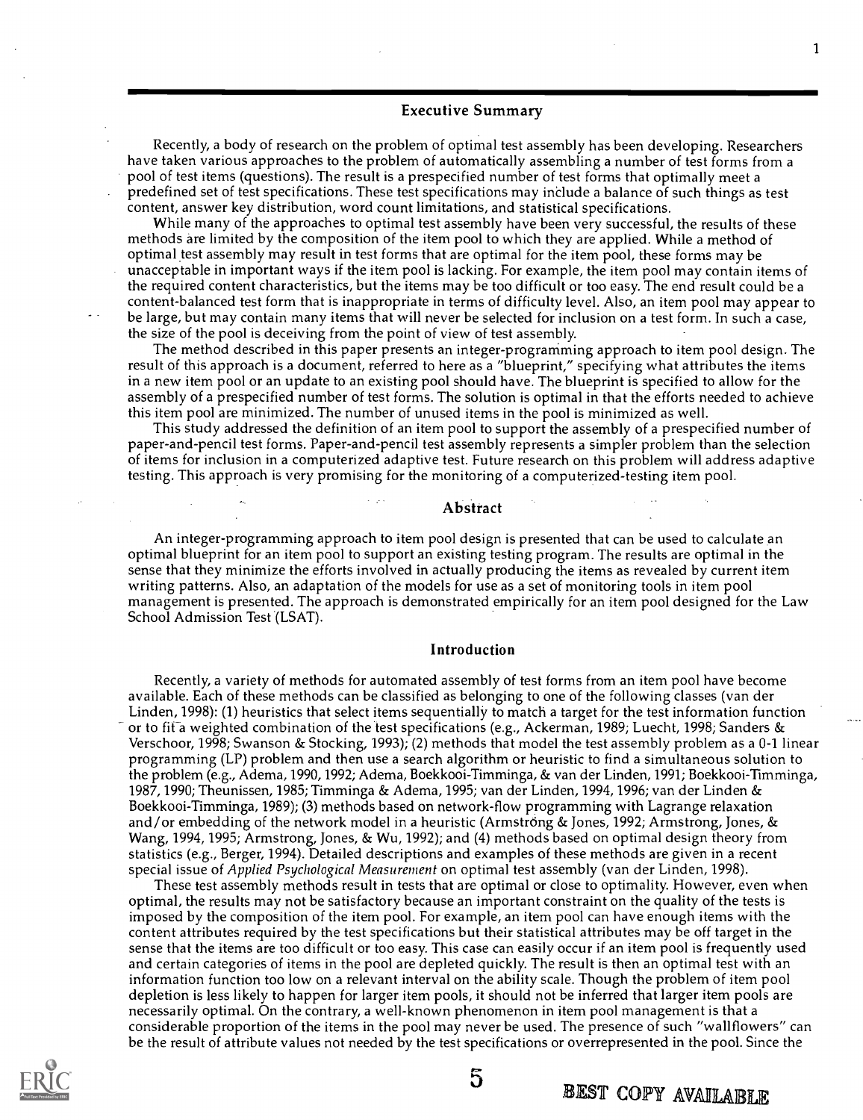#### Executive Summary

Recently, a body of research on the problem of optimal test assembly has been developing. Researchers have taken various approaches to the problem of automatically assembling a number of test forms from a pool of test items (questions). The result is a prespecified number of test forms that optimally meet a predefined set of test specifications. These test specifications may include a balance of such things as test content, answer key distribution, word count limitations, and statistical specifications.

While many of the approaches to optimal test assembly have been very successful, the results of these methods are limited by the composition of the item pool to which they are applied. While a method of optimal test assembly may result in test forms that are optimal for the item pool, these forms may be unacceptable in important ways if the item pool is lacking. For example, the item pool may contain items of the required content characteristics, but the items may be too difficult or too easy. The end result could be a content-balanced test form that is inappropriate in terms of difficulty level. Also, an item pool may appear to be large, but may contain many items that will never be selected for inclusion on a test form. In such a case, the size of the pool is deceiving from the point of view of test assembly.

The method described in this paper presents an integer-programming approach to item pool design. The result of this approach is a document, referred to here as a "blueprint," specifying what attributes the items in a new item pool or an update to an existing pool should have. The blueprint is specified to allow for the assembly of a prespecified number of test forms. The solution is optimal in that the efforts needed to achieve this item pool are minimized. The number of unused items in the pool is minimized as well.

This study addressed the definition of an item pool to support the assembly of a prespecified number of paper-and-pencil test forms. Paper-and-pencil test assembly represents a simpler problem than the selection of items for inclusion in a computerized adaptive test. Future research on this problem will address adaptive testing. This approach is very promising for the monitoring of a computerized-testing item pool.

#### Abstract

An integer-programming approach to item pool design is presented that can be used to calculate an optimal blueprint for an item pool to support an existing testing program. The results are optimal in the sense that they minimize the efforts involved in actually producing the items as revealed by current item writing patterns. Also, an adaptation of the models for use as a set of monitoring tools in item pool management is presented. The approach is demonstrated empirically for an item pool designed for the Law School Admission Test (LSAT).

#### Introduction

Recently, a variety of methods for automated assembly of test forms from an item pool have become available. Each of these methods can be classified as belonging to one of the following classes (van der Linden, 1998): (1) heuristics that select items sequentially to match a target for the test information function or to fit a weighted combination of the test specifications (e.g., Ackerman, 1989; Luecht, 1998; Sanders & Verschoor, 1998; Swanson & Stocking, 1993); (2) methods that model the test assembly problem as a 0-1 linear programming (LP) problem and then use a search algorithm or heuristic to find a simultaneous solution to the problem (e.g., Adema, 1990, 1992; Adema, Boekkooi-Timminga, & van der Linden, 1991; Boekkooi-Timminga, 1987, 1990; Theunissen, 1985; Timminga & Adema, 1995; van der Linden, 1994, 1996; van der Linden & Boekkooi-Timminga, 1989); (3) methods based on network-flow programming with Lagrange relaxation and/or embedding of the network model in a heuristic (Armstrong & Jones, 1992; Armstrong, Jones, & Wang, 1994, 1995; Armstrong, Jones, & Wu, 1992); and (4) methods based on optimal design theory from statistics (e.g., Berger, 1994). Detailed descriptions and examples of these methods are given in a recent special issue of Applied Psychological Measurement on optimal test assembly (van der Linden, 1998).

These test assembly methods result in tests that are optimal or close to optimality. However, even when optimal, the results may not be satisfactory because an important constraint on the quality of the tests is imposed by the composition of the item pool. For example, an item pool can have enough items with the content attributes required by the test specifications but their statistical attributes may be off target in the sense that the items are too difficult or too easy. This case can easily occur if an item pool is frequently used and certain categories of items in the pool are depleted quickly. The result is then an optimal test with an information function too low on a relevant interval on the ability scale. Though the problem of item pool depletion is less likely to happen for larger item pools, it should not be inferred that larger item pools are necessarily optimal. On the contrary, a well-known phenomenon in item pool management is that a considerable proportion of the items in the pool may never be used. The presence of such "wallflowers" can be the result of attribute values not needed by the test specifications or overrepresented in the pool. Since the



5

BEST COPY AVAILABLE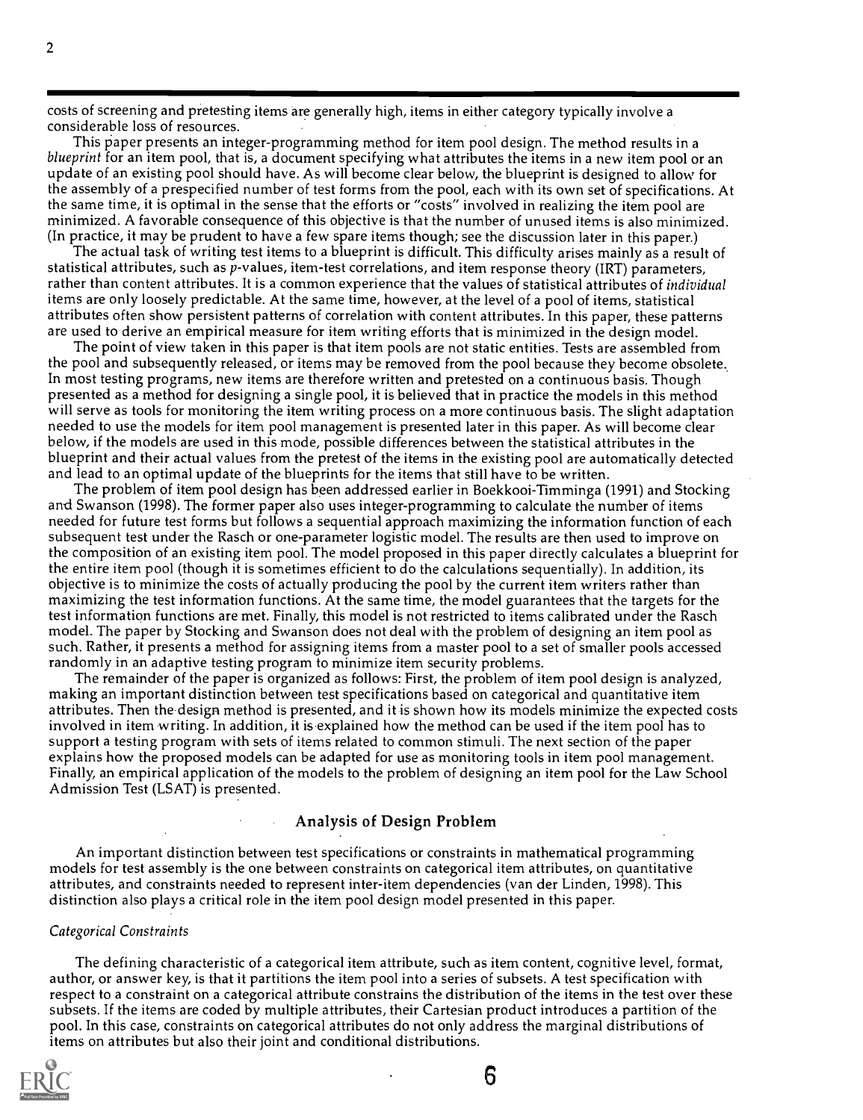costs of screening and pretesting items are generally high, items in either category typically involve a considerable loss of resources.

This paper presents an integer-programming method for item pool design. The method results in a blueprint for an item pool, that is, a document specifying what attributes the items in a new item pool or an update of an existing pool should have. As will become clear below, the blueprint is designed to allow for the assembly of a prespecified number of test forms from the pool, each with its own set of specifications. At the same time, it is optimal in the sense that the efforts or "costs" involved in realizing the item pool are minimized. A favorable consequence of this objective is that the number of unused items is also minimized. (In practice, it may be prudent to have a few spare items though; see the discussion later in this paper.)

The actual task of writing test items to a blueprint is difficult. This difficulty arises mainly as a result of statistical attributes, such as p-values, item-test correlations, and item response theory (IRT) parameters, rather than content attributes. It is a common experience that the values of statistical attributes of individual items are only loosely predictable. At the same time, however, at the level of a pool of items, statistical attributes often show persistent patterns of correlation with content attributes. In this paper, these patterns are used to derive an empirical measure for item writing efforts that is minimized in the design model.

The point of view taken in this paper is that item pools are not static entities. Tests are assembled from the pool and subsequently released, or items may be removed from the pool because they become obsolete. In most testing programs, new items are therefore written and pretested on a continuous basis. Though presented as a method for designing a single pool, it is believed that in practice the models in this method will serve as tools for monitoring the item writing process on a more continuous basis. The slight adaptation needed to use the models for item pool management is presented later in this paper. As will become clear below, if the models are used in this mode, possible differences between the statistical attributes in the blueprint and their actual values from the pretest of the items in the existing pool are automatically detected and lead to an optimal update of the blueprints for the items that still have to be written.

The problem of item pool design has been addressed earlier in Boekkooi-Timminga (1991) and Stocking and Swanson (1998). The former paper also uses integer-programming to calculate the number of items needed for future test forms but follows a sequential approach maximizing the information function of each subsequent test under the Rasch or one-parameter logistic model. The results are then used to improve on the composition of an existing item pool. The model proposed in this paper directly calculates a blueprint for the entire item pool (though it is sometimes efficient to do the calculations sequentially). In addition, its objective is to minimize the costs of actually producing the pool by the current item writers rather than maximizing the test information functions. At the same time, the model guarantees that the targets for the test information functions are met. Finally, this model is not restricted to items calibrated under the Rasch model. The paper by Stocking and Swanson does not deal with the problem of designing an item pool as such. Rather, it presents a method for assigning items from a master pool to a set of smaller pools accessed randomly in an adaptive testing program to minimize item security problems.

The remainder of the paper is organized as follows: First, the problem of item pool design is analyzed, making an important distinction between test specifications based on categorical and quantitative item attributes. Then the design method is presented, and it is shown how its models minimize the expected costs involved in item writing. In addition, it is explained how the method can be used if the item pool has to support a testing program with sets of items related to common stimuli. The next section of the paper explains how the proposed models can be adapted for use as monitoring tools in item pool management. Finally, an empirical application of the models to the problem of designing an item pool for the Law School Admission Test (LSAT) is presented.

#### Analysis of Design Problem

An important distinction between test specifications or constraints in mathematical programming models for test assembly is the one between constraints on categorical item attributes, on quantitative attributes, and constraints needed to represent inter-item dependencies (van der Linden, 1998). This distinction also plays a critical role in the item pool design model presented in this paper.

#### Categorical Constraints

The defining characteristic of a categorical item attribute, such as item content, cognitive level, format, author, or answer key, is that it partitions the item pool into a series of subsets. A test specification with respect to a constraint on a categorical attribute constrains the distribution of the items in the test over these subsets. If the items are coded by multiple attributes, their Cartesian product introduces a partition of the pool. In this case, constraints on categorical attributes do not only address the marginal distributions of items on attributes but also their joint and conditional distributions.

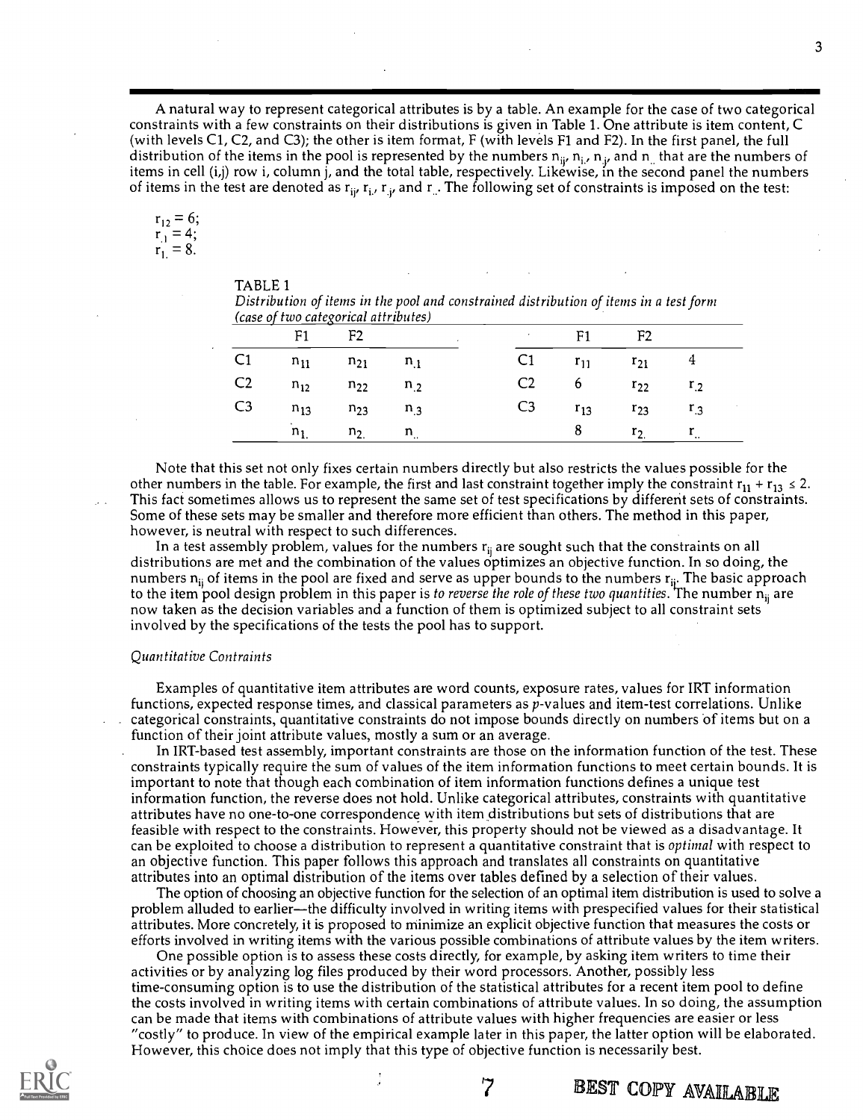A natural way to represent categorical attributes is by a table. An example for the case of two categorical constraints with a few constraints on their distributions is given in Table 1. One attribute is item content, C (with levels C1, C2, and C3); the other is item format, F (with levels Fl and F2). In the first panel, the full distribution of the items in the pool is represented by the numbers  $n_{ii}$ ,  $n_{i}$ ,  $n_{i}$ , and  $n_{ii}$  that are the numbers of items in cell (i,j) row i, column j, and the total table, respectively. Likewise, in the second panel the numbers of items in the test are denoted as  ${\bf r_{ij}}$   ${\bf r_{i}}$  ,  ${\bf r_{j}}$  and  ${\bf r_{j}}$  . The following set of constraints is imposed on the test:

$$
\begin{array}{l}\nr_{12} = 6; \\
r_{.1} = 4; \\
r_{.1} = 8.\n\end{array}
$$

| TABLE <sub>1</sub> |  |
|--------------------|--|
|--------------------|--|

| Distribution of items in the pool and constrained distribution of items in a test form |  |
|----------------------------------------------------------------------------------------|--|
| (case of two categorical attributes)                                                   |  |

| . | $F1$ F2                       |                       |  | $F1$ F2 |                               |  |
|---|-------------------------------|-----------------------|--|---------|-------------------------------|--|
|   | C1 $n_{11}$ $n_{21}$ $n_{.1}$ |                       |  |         | C1 $r_{11}$ $r_{21}$ 4        |  |
|   | C2 $n_{12}$ $n_{22}$ $n_{.2}$ |                       |  |         | C2 6 $r_{22}$ $r_{.2}$        |  |
|   | C3 $n_{13}$ $n_{23}$ $n_{.3}$ |                       |  |         | C3 $r_{13}$ $r_{23}$ $r_{.3}$ |  |
|   |                               | $n_1$ , $n_2$ , $n_3$ |  | 8       | $r_2$ $r_{1}$                 |  |

Note that this set not only fixes certain numbers directly but also restricts the values possible for the other numbers in the table. For example, the first and last constraint together imply the constraint  $r_{11} + r_{13} \le 2$ . This fact sometimes allows us to represent the same set of test specifications by different sets of constraints. Some of these sets may be smaller and therefore more efficient than others. The method in this paper, however, is neutral with respect to such differences.

In a test assembly problem, values for the numbers  $r_{ii}$  are sought such that the constraints on all distributions are met and the combination of the values optimizes an objective function. In so doing, the numbers  $n_{ii}$  of items in the pool are fixed and serve as upper bounds to the numbers  $r_{ii}$ . The basic approach to the item pool design problem in this paper is to reverse the role of these two quantities. The number n<sub>ii</sub> are now taken as the decision variables and a function of them is optimized subject to all constraint sets involved by the specifications of the tests the pool has to support.

#### Quantitative Contraints

Examples of quantitative item attributes are word counts, exposure rates, values for IRT information functions, expected response times, and classical parameters as p-values and item-test correlations. Unlike categorical constraints, quantitative constraints do not impose bounds directly on numbers of items but on a function of their joint attribute values, mostly a sum or an average.

In IRT-based test assembly, important constraints are those on the information function of the test. These constraints typically require the sum of values of the item information functions to meet certain bounds. It is important to note that though each combination of item information functions defines a unique test information function, the reverse does not hold. Unlike categorical attributes, constraints with quantitative attributes have no one-to-one correspondence with item distributions but sets of distributions that are feasible with respect to the constraints. However, this property should not be viewed as a disadvantage. It can be exploited to choose a distribution to represent a quantitative constraint that is optimal with respect to an objective function. This paper follows this approach and translates all constraints on quantitative attributes into an optimal distribution of the items over tables defined by a selection of their values.

The option of choosing an objective function for the selection of an optimal item distribution is used to solve a problem alluded to earlier—the difficulty involved in writing items with prespecified values for their statistical attributes. More concretely, it is proposed to minimize an explicit objective function that measures the costs or efforts involved in writing items with the various possible combinations of attribute values by the item writers.

One possible option is to assess these costs directly, for example, by asking item writers to time their activities or by analyzing log files produced by their word processors. Another, possibly less time-consuming option is to use the distribution of the statistical attributes for a recent item pool to define the costs involved in writing items with certain combinations of attribute values. In so doing, the assumption can be made that items with combinations of attribute values with higher frequencies are easier or less "costly" to produce. In view of the empirical example later in this paper, the latter option will be elaborated. However, this choice does not imply that this type of objective function is necessarily best.

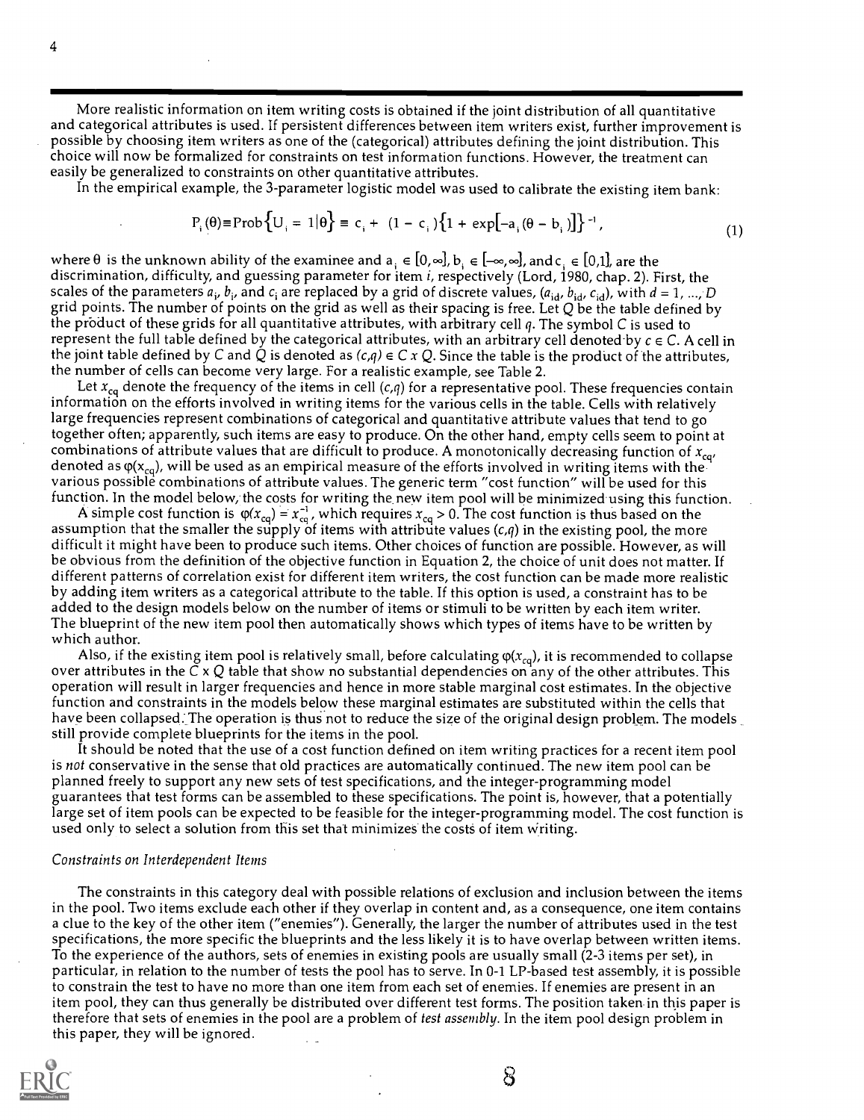More realistic information on item writing costs is obtained if the joint distribution of all quantitative and categorical attributes is used. If persistent differences between item writers exist, further improvement is possible by choosing item writers as one of the (categorical) attributes defining the joint distribution. This choice will now be formalized for constraints on test information functions. However, the treatment can easily be generalized to constraints on other quantitative attributes.

In the empirical example, the 3-parameter logistic model was used to calibrate the existing item bank:

$$
P_i(\theta) \equiv \text{Prob}\left\{U_i = 1 | \theta\right\} \equiv c_i + (1 - c_i) \left\{1 + \exp[-a_i(\theta - b_i)]\right\}^{-1},\tag{1}
$$

where  $\theta$  is the unknown ability of the examinee and  $a_i \in [0, \infty]$ ,  $b_i \in [-\infty, \infty]$ , and  $c_i \in [0,1]$ , are the discrimination, difficulty, and guessing parameter for item i, respectively (Lord, 1980, chap. 2). First, the scales of the parameters  $a_i$ ,  $b_i$ , and  $c_i$  are replaced by a grid of discrete values, ( $a_{id}$ ,  $b_{id}$ ,  $c_{id}$ ), with  $d = 1$ , ..., D grid points. The number of points on the grid as well as their spacing is free. Let  $Q$  be the table defined by the product of these grids for all quantitative attributes, with arbitrary cell  $q$ . The symbol C is used to represent the full table defined by the categorical attributes, with an arbitrary cell denoted by  $c \in C$ . A cell in the joint table defined by C and Q is denoted as  $(c,q) \in C \times Q$ . Since the table is the product of the attributes, the number of cells can become very large. For a realistic example, see Table 2.

Let  $x_{cq}$  denote the frequency of the items in cell (c,q) for a representative pool. These frequencies contain information on the efforts involved in writing items for the various cells in the table. Cells with relatively large frequencies represent combinations of categorical and quantitative attribute values that tend to go together often; apparently, such items are easy to produce. On the other hand, empty cells seem to point at combinations of attribute values that are difficult to produce. A monotonically decreasing function of  $x_{\text{cqr}}$ denoted as  $\varphi(x_{\text{ca}})$ , will be used as an empirical measure of the efforts involved in writing items with the various possible combinations of attribute values. The generic term "cost function" will be used for this function. In the model below, the costs for writing the new item pool will be minimized using this function.

A simple cost function is  $\varphi(x_{\text{cq}}) = x_{\text{cq}}^{-1}$ , which requires  $x_{\text{cq}} > 0$ . The cost function is thus based on the assumption that the smaller the supply of items with attribute values  $(c,q)$  in the existing pool, the more difficult it might have been to produce such items. Other choices of function are possible. However, as will be obvious from the definition of the objective function in Equation 2, the choice of unit does not matter. If different patterns of correlation exist for different item writers, the cost function can be made more realistic by adding item writers as a categorical attribute to the table. If this option is used, a constraint has to be added to the design models below on the number of items or stimuli to be written by each item writer. The blueprint of the new item pool then automatically shows which types of items have to be written by which author.

Also, if the existing item pool is relatively small, before calculating  $\varphi(x_{cq})$ , it is recommended to collapse over attributes in the C  $\times$  Q table that show no substantial dependencies on any of the other attributes. This operation will result in larger frequencies and hence in more stable marginal cost estimates. In the objective function and constraints in the models below these marginal estimates are substituted within the cells that have been collapsed. The operation is thus not to reduce the size of the original design problem. The models still provide complete blueprints for the items in the pool.

It should be noted that the use of a cost function defined on item writing practices for a recent item pool is not conservative in the sense that old practices are automatically continued. The new item pool can be planned freely to support any new sets of test specifications, and the integer-programming model guarantees that test forms can be assembled to these specifications. The point is, however, that a potentially large set of item pools can be expected to be feasible for the integer-programming model. The cost function is used only to select a solution from this set that minimizes the costs of item writing.

#### Constraints on Interdependent Items

The constraints in this category deal with possible relations of exclusion and inclusion between the items in the pool. Two items exclude each other if they overlap in content and, as a consequence, one item contains a clue to the key of the other item ("enemies"). Generally, the larger the number of attributes used in the test specifications, the more specific the blueprints and the less likely it is to have overlap between written items. To the experience of the authors, sets of enemies in existing pools are usually small (2-3 items per set), in particular, in relation to the number of tests the pool has to serve. In 0-1 LP-based test assembly, it is possible to constrain the test to have no more than one item from each set of enemies. If enemies are present in an item pool, they can thus generally be distributed over different test forms. The position taken in this paper is therefore that sets of enemies in the pool are a problem of test assembly. In the item pool design problem in this paper, they will be ignored.



හි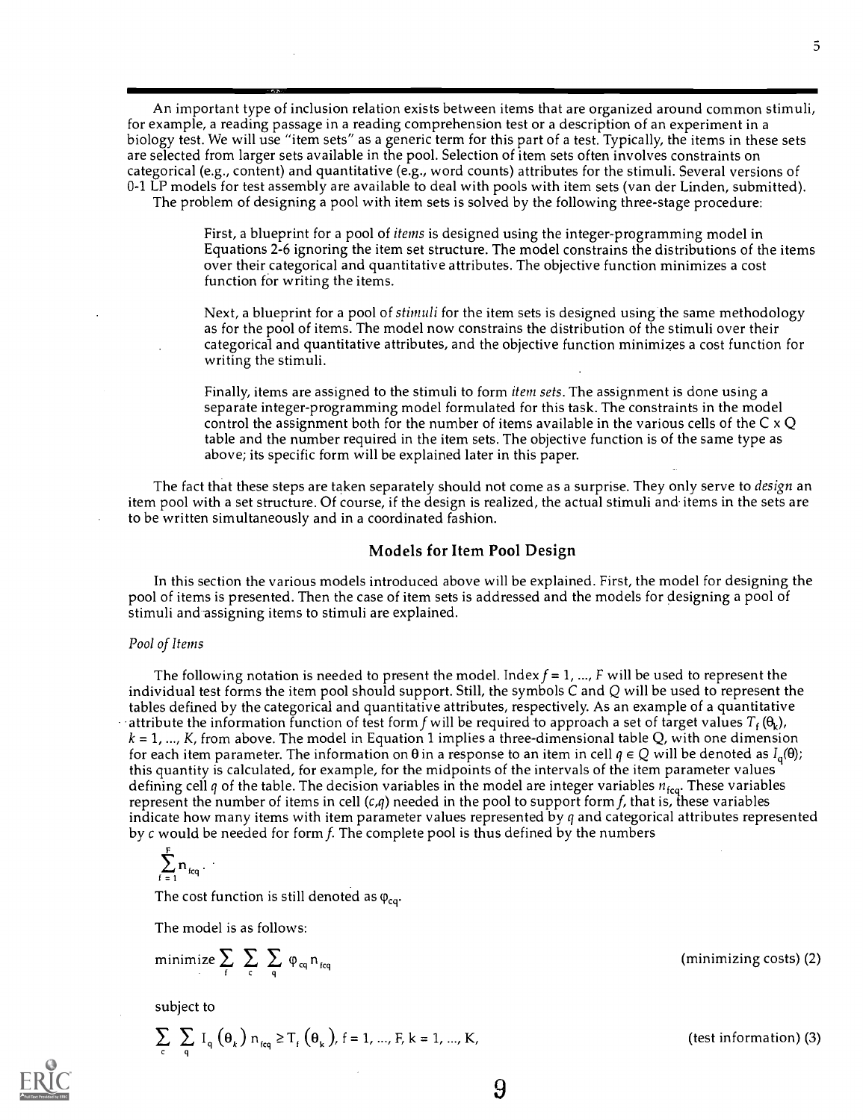An important type of inclusion relation exists between items that are organized around common stimuli, for example, a reading passage in a reading comprehension test or a description of an experiment in a biology test. We will use "item sets" as a generic term for this part of a test. Typically, the items in these sets are selected from larger sets available in the pool. Selection of item sets often involves constraints on categorical (e.g., content) and quantitative (e.g., word counts) attributes for the stimuli. Several versions of 0-1 LP models for test assembly are available to deal with pools with item sets (van der Linden, submitted). The problem of designing a pool with item sets is solved by the following three-stage procedure:

> First, a blueprint for a pool of *items* is designed using the integer-programming model in Equations 2-6 ignoring the item set structure. The model constrains the distributions of the items over their categorical and quantitative attributes. The objective function minimizes a cost function for writing the items.

Next, a blueprint for a pool of *stimuli* for the item sets is designed using the same methodology as for the pool of items. The model now constrains the distribution of the stimuli over their categorical and quantitative attributes, and the objective function minimizes a cost function for writing the stimuli.

Finally, items are assigned to the stimuli to form *item sets*. The assignment is done using a separate integer-programming model formulated for this task. The constraints in the model control the assignment both for the number of items available in the various cells of the  $C \times Q$ table and the number required in the item sets. The objective function is of the same type as above; its specific form will be explained later in this paper.

The fact that these steps are taken separately should not come as a surprise. They only serve to *design* an item pool with a set structure. Of course, if the design is realized, the actual stimuli and items in the sets are to be written simultaneously and in a coordinated fashion.

#### Models for Item Pool Design

In this section the various models introduced above will be explained. First, the model for designing the pool of items is presented. Then the case of item sets is addressed and the models for designing a pool of stimuli and-assigning items to stimuli are explained.

#### Pool of Items

The following notation is needed to present the model. Index  $f = 1, ..., F$  will be used to represent the individual test forms the item pool should support. Still, the symbols  $C$  and  $Q$  will be used to represent the tables defined by the categorical and quantitative attributes, respectively. As an example of a quantitative attribute the information function of test form f will be required to approach a set of target values  $T_f(\theta_k)$ ,  $k = 1, ..., K$ , from above. The model in Equation 1 implies a three-dimensional table Q, with one dimension for each item parameter. The information on  $\theta$  in a response to an item in cell  $q \in Q$  will be denoted as  $I_q(\theta)$ ; this quantity is calculated, for example, for the midpoints of the intervals of the item parameter values defining cell q of the table. The decision variables in the model are integer variables  $n_{\text{fcq}}$ . These variables represent the number of items in cell  $(c,q)$  needed in the pool to support form f, that is, these variables indicate how many items with item parameter values represented by  $q$  and categorical attributes represented by  $c$  would be needed for form  $f$ . The complete pool is thus defined by the numbers

$$
\sum_{f=1}^F n_{fcq}.
$$

The cost function is still denoted as  $\varphi_{ca}$ .

The model is as follows:

$$
\text{minimize} \sum_{f} \sum_{c} \sum_{q} \phi_{cq} n_{fcq}
$$

subject to

$$
\sum_{c} \sum_{q} I_q(\theta_k) n_{eq} \ge T_f(\theta_k), f = 1, ..., F, k = 1, ..., K,
$$
 (test information) (3)

 $(minimizing costs)$  (2)

 $5 \sim$ 

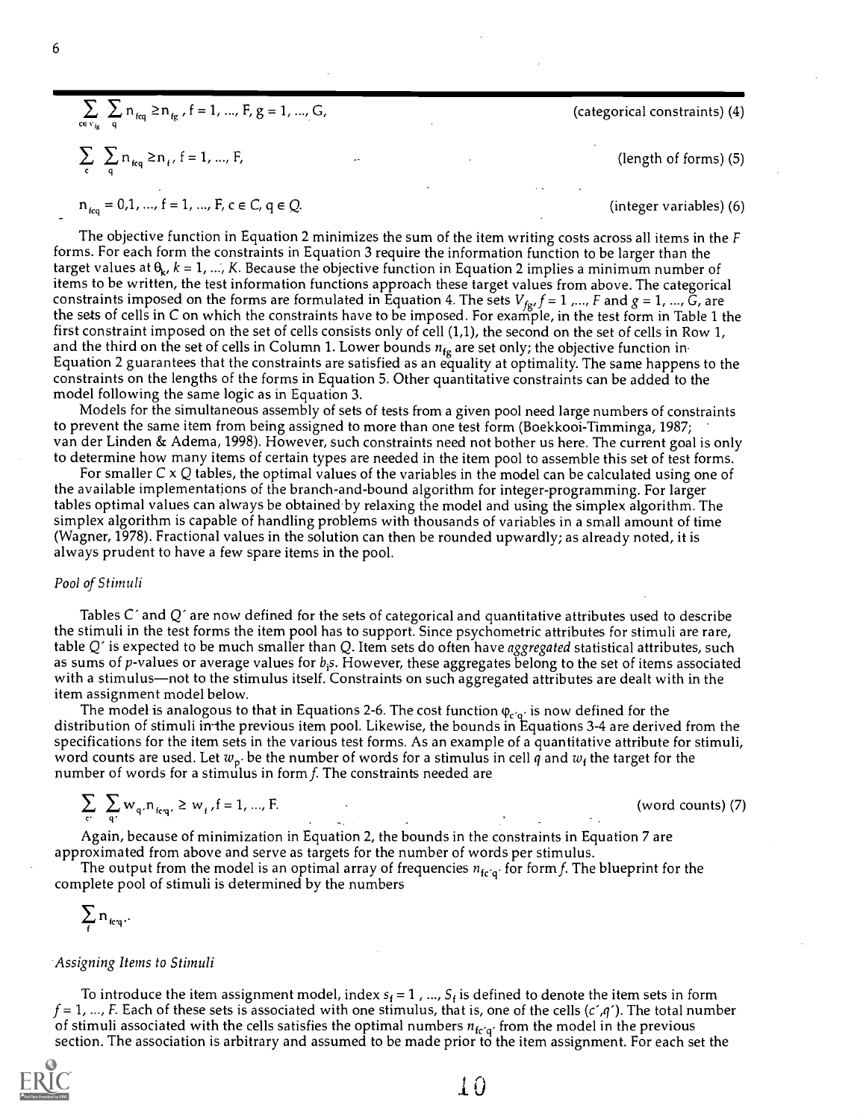$$
\sum_{ce \, v_{ig}} \sum_{q} n_{f_{eq}} \ge n_{f_{g}}, f = 1, ..., F, g = 1, ..., G,
$$
  

$$
\sum_{c} \sum_{q} n_{f_{eq}} \ge n_{f}, f = 1, ..., F,
$$
  

$$
n_{f_{eq}} = 0, 1, ..., f = 1, ..., F, c \in C, q \in Q.
$$

The objective function in Equation 2 minimizes the sum of the item writing costs across all items in the F forms. For each form the constraints in Equation 3 require the information function to be larger than the target values at  $\theta_k$ ,  $k = 1, ..., K$ . Because the objective function in Equation 2 implies a minimum number of items to be written, the test information functions approach these target values from above. The categorical constraints imposed on the forms are formulated in Equation 4. The sets  $V_{fg}$ ,  $f = 1$ ,  $\ldots$ ,  $F$  and  $g = 1$ ,  $\ldots$ ,  $\tilde{G}$ , are the sets of cells in C on which the constraints have to be imposed. For example, in the test form in Table 1 the first constraint imposed on the set of cells consists only of cell (1,1), the second on the set of cells in Row 1, and the third on the set of cells in Column 1. Lower bounds  $n_{fg}$  are set only; the objective function in Equation 2 guarantees that the constraints are satisfied as an equality at optimality. The same happens to the constraints on the lengths of the forms in Equation 5. Other quantitative constraints can be added to the model following the same logic as in Equation 3.

Models for the simultaneous assembly of sets of tests from a given pool need large numbers of constraints to prevent the same item from being assigned to more than one test form (Boekkooi-Timminga, 1987; van der Linden & Adema, 1998). However, such constraints need not bother us here. The current goal is only to determine how many items of certain types are needed in the item pool to assemble this set of test forms.

For smaller  $C \times Q$  tables, the optimal values of the variables in the model can be calculated using one of the available implementations of the branch-and-bound algorithm for integer-programming. For larger tables optimal values can always be obtained by relaxing the model and using the simplex algorithm. The simplex algorithm is capable of handling problems with thousands of variables in a small amount of time (Wagner, 1978). Fractional values in the solution can then be rounded upwardly; as already noted, it is always prudent to have a few spare items in the pool.

#### Pool of Stimuli

Tables  $C'$  and  $Q'$  are now defined for the sets of categorical and quantitative attributes used to describe the stimuli in the test forms the item pool has to support. Since psychometric attributes for stimuli are rare, table  $Q'$  is expected to be much smaller than  $Q$ . Item sets do often have aggregated statistical attributes, such as sums of p-values or average values for  $b_i$ s. However, these aggregates belong to the set of items associated with a stimulus—not to the stimulus itself. Constraints on such aggregated attributes are dealt with in the item assignment model below.

The model is analogous to that in Equations 2-6. The cost function  $\varphi_{c'q'}$  is now defined for the distribution of stimuli in the previous item pool. Likewise, the bounds in Equations 3-4 are derived from the specifications for the item sets in the various test forms. As an example of a quantitative attribute for stimuli, word counts are used. Let  $w_p$  be the number of words for a stimulus in cell q and  $w_f$  the target for the number of words for a stimulus in form  $f$ . The constraints needed are

$$
\sum_{c'} \sum_{q'} w_{q'} n_{icq'} \ge w_{f} f = 1, ..., F.
$$
 (word counts) (7)

Again, because of minimization in Equation 2, the bounds in the constraints in Equation 7 are approximated from above and serve as targets for the number of words per stimulus.

The output from the model is an optimal array of frequencies  $n_{fc'g'}$  for form f. The blueprint for the complete pool of stimuli is determined by the numbers

$$
\sum_{f} n_{icq}.
$$

#### Assigning Items to Stimuli

To introduce the item assignment model, index  $s_f = 1$ , ...,  $S_f$  is defined to denote the item sets in form  $f = 1, ..., F$ . Each of these sets is associated with one stimulus, that is, one of the cells (c',q'). The total number of stimuli associated with the cells satisfies the optimal numbers  $n_{\text{fcq}}$  from the model in the previous section. The association is arbitrary and assumed to be made prior to the item assignment. For each set the



(categorical constraints) (4)

(length of forms) (5)

(integer variables) (6)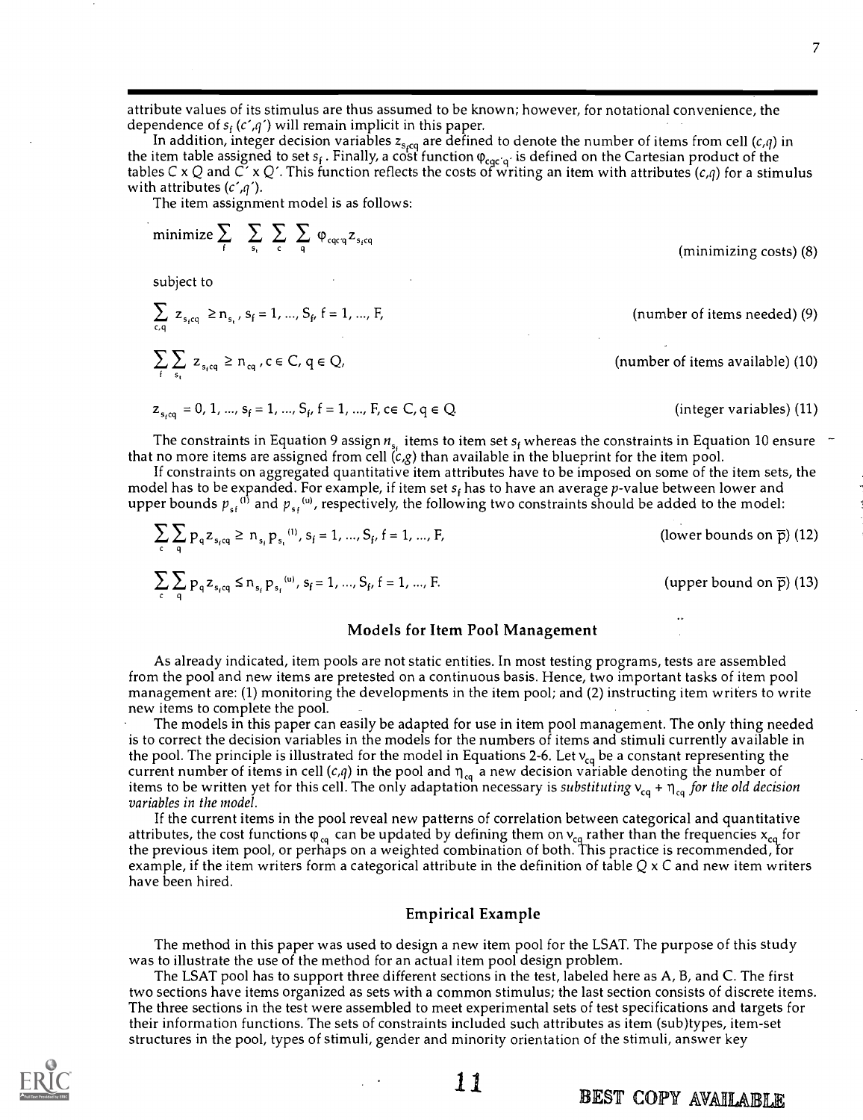attribute values of its stimulus are thus assumed to be known; however, for notational convenience, the dependence of  $s_f$  (c',q') will remain implicit in this paper.

In addition, integer decision variables z<sub>s،cq</sub> are defined to denote the number of items from cell (c,q) in the item table assigned to set  $s_f$  . Finally, a cost function  $\phi_{c\alpha c'\alpha'}$  is defined on the Cartesian product of the tables C x Q and C´ x Q´. This function reflects the costs of writing an item with attributes (c,q) for a stimulus with attributes  $(c', q')$ .

The item assignment model is as follows:

minimize 
$$
\sum_{f}
$$
  $\sum_{s_i} \sum_{c} \sum_{q} \varphi_{cqcq} z_{s_icq}$  (minimizing costs) (8)  
\nsubject to  
\n $\sum_{c,q} z_{s_icq} \ge n_{s_i}, s_f = 1, ..., S_f, f = 1, ..., F,$  (number of items needed) (9)  
\n $\sum_{f} \sum_{s_i} z_{s_icq} \ge n_{cq}, c \in C, q \in Q,$  (number of items available) (10)  
\n $z_{s_icq} = 0, 1, ..., s_f = 1, ..., S_f, f = 1, ..., F, c \in C, q \in Q.$  (integer variables) (11)

The constraints in Equation 9 assign  $n_{s_i}$  items to item set  $s_f$  whereas the constraints in Equation 10 ensure  $\tau$ that no more items are assigned from cell  $(c,g)$  than available in the blueprint for the item pool.

If constraints on aggregated quantitative item attributes have to be imposed on some of the item sets, the model has to be expanded. For example, if item set  $s_f$  has to have an average p-value between lower and upper bounds  $p_{sf}^{(1)}$  and  $p_{sf}^{(u)}$ , respectively, the following two constraints should be added to the model:

$$
\sum_{c} \sum_{q} p_{q} z_{s_{f}q} \ge n_{s_{f}} p_{s_{i}}^{(1)}, s_{f} = 1, ..., S_{f}, f = 1, ..., F,
$$
 (lower bounds on  $\overline{p}$ ) (12)  

$$
\sum_{c} \sum_{q} p_{q} z_{s_{f}q} \le n_{s_{f}} p_{s_{f}}^{(u)}, s_{f} = 1, ..., S_{f}, f = 1, ..., F.
$$
 (upper bound on  $\overline{p}$ ) (13)

#### Models for Item Pool Management

As already indicated, item pools are not static entities. In most testing programs, tests are assembled from the pool and new items are pretested on a continuous basis. Hence, two important tasks of item pool management are: (1) monitoring the developments in the item pool; and (2) instructing item writers to write new items to complete the pool.

The models in this paper can easily be adapted for use in item pool management. The only thing needed is to correct the decision variables in the models for the numbers of items and stimuli currently available in the pool. The principle is illustrated for the model in Equations 2-6. Let  $v_{cq}$  be a constant representing the current number of items in cell  $(c,q)$  in the pool and  $\eta_{cq}$  a new decision variable denoting the number of items to be written yet for this cell. The only adaptation necessary is substituting  $v_{cq} + \eta_{cq}$  for the old decision variables in the model.

If the current items in the pool reveal new patterns of correlation between categorical and quantitative attributes, the cost functions  $\phi_{ca}$  can be updated by defining them on  $v_{ca}$  rather than the frequencies  $x_{ca}$  for the previous item pool, or perhaps on a weighted combination of both. This practice is recommended, for example, if the item writers form a categorical attribute in the definition of table  $Q \times C$  and new item writers have been hired.

#### Empirical Example

The method in this paper was used to design a new item pool for the LSAT. The purpose of this study was to illustrate the use of the method for an actual item pool design problem.

The LSAT pool has to support three different sections in the test, labeled here as A, B, and C. The first two sections have items organized as sets with a common stimulus; the last section consists of discrete items. The three sections in the test were assembled to meet experimental sets of test specifications and targets for their information functions. The sets of constraints included such attributes as item (sub)types, item-set structures in the pool, types of stimuli, gender and minority orientation of the stimuli, answer key



1.1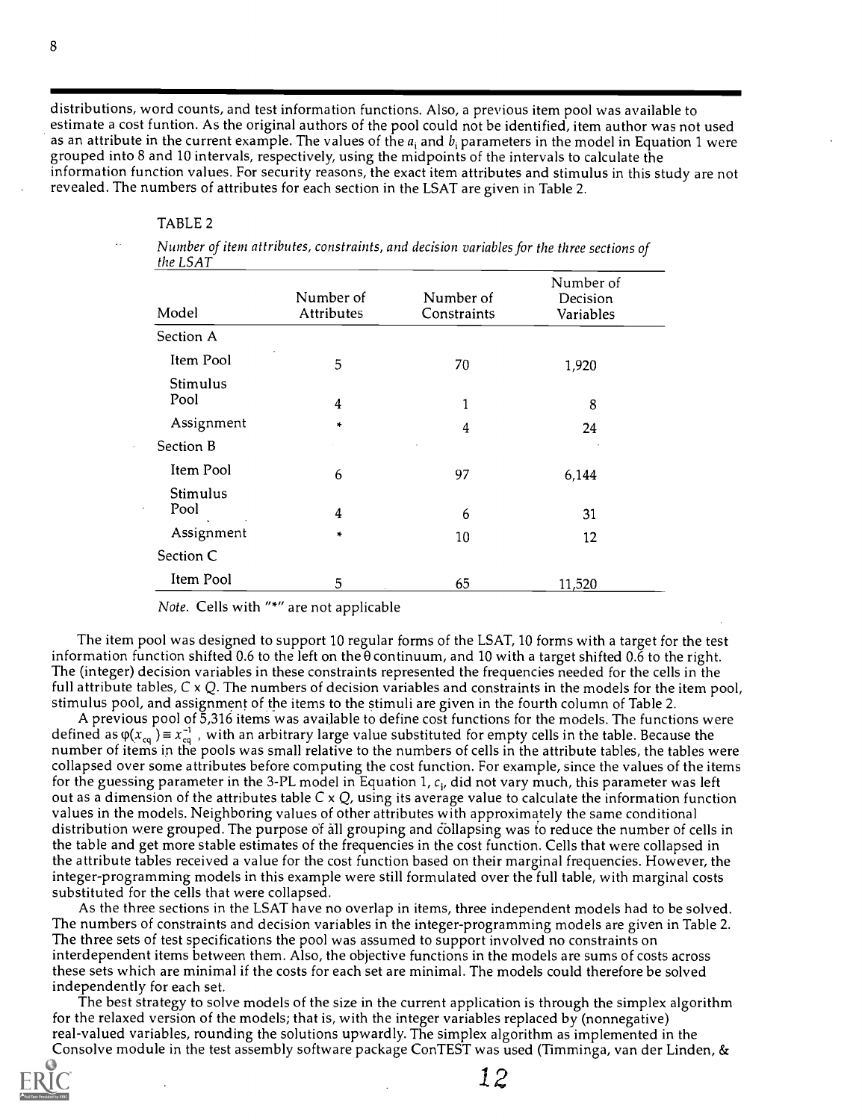distributions, word counts, and test information functions. Also, a previous item pool was available to estimate a cost funtion. As the original authors of the pool could not be identified, item author was not used as an attribute in the current example. The values of the  $a_i$  and  $b_i$  parameters in the model in Equation 1 were grouped into 8 and 10 intervals, respectively, using the midpoints of the intervals to calculate the information function values. For security reasons, the exact item attributes and stimulus in this study are not revealed. The numbers of attributes for each section in the LSAT are given in Table 2.

#### TABLE 2

Number of item attributes, constraints, and decision variables for the three sections of the LSAT

| Model            | Number of<br>Attributes | Number of<br>Constraints | Number of<br>Decision<br>Variables |
|------------------|-------------------------|--------------------------|------------------------------------|
| Section A        |                         |                          |                                    |
| Item Pool        | 5                       | 70                       | 1,920                              |
| Stimulus<br>Pool | $\overline{4}$          | 1                        | 8                                  |
| Assignment       | *                       | $\overline{\mathbf{4}}$  | 24                                 |
| Section B        |                         |                          |                                    |
| Item Pool        | 6                       | 97                       | 6,144                              |
| Stimulus<br>Pool | 4                       | 6                        | 31                                 |
| Assignment       | $\frac{1}{2}$           | 10                       | 12                                 |
| Section C        |                         |                          |                                    |
| Item Pool        | 5                       | 65                       | 11,520                             |

Note. Cells with "\*" are not applicable

The item pool was designed to support 10 regular forms of the LSAT, 10 forms with a target for the test information function shifted 0.6 to the left on the  $\theta$  continuum, and 10 with a target shifted 0.6 to the right. The (integer) decision variables in these constraints represented the frequencies needed for the cells in the full attribute tables,  $C \times Q$ . The numbers of decision variables and constraints in the models for the item pool, stimulus pool, and assignment of the items to the stimuli are given in the fourth column of Table 2.

A previous pool of 5,316 items was available to define cost functions for the models. The functions were defined as  $\varphi(x_{cq}) = x_{cq}^{-1}$ , with an arbitrary large value substituted for empty cells in the table. Because the number of items in the pools was small relative to the numbers of cells in the attribute tables, the tables were collapsed over some attributes before computing the cost function. For example, since the values of the items for the guessing parameter in the 3-PL model in Equation 1,  $c_i$ , did not vary much, this parameter was left out as a dimension of the attributes table  $C \times Q$ , using its average value to calculate the information function values in the models. Neighboring values of other attributes with approximately the same conditional distribution were grouped. The purpose of all grouping and collapsing was to reduce the number of cells in the table and get more stable estimates of the frequencies in the cost function. Cells that were collapsed in the attribute tables received a value for the cost function based on their marginal frequencies. However, the integer-programming models in this example were still formulated over the full table, with marginal costs substituted for the cells that were collapsed.

As the three sections in the LSAT have no overlap in items, three independent models had to be solved. The numbers of constraints and decision variables in the integer-programming models are given in Table 2. The three sets of test specifications the pool was assumed to support involved no constraints on interdependent items between them. Also, the objective functions in the models are sums of costs across these sets which are minimal if the costs for each set are minimal. The models could therefore be solved independently for each set.

The best strategy to solve models of the size in the current application is through the simplex algorithm for the relaxed version of the models; that is, with the integer variables replaced by (nonnegative) real-valued variables, rounding the solutions upwardly. The simplex algorithm as implemented in the Consolve module in the test assembly software package ConTEST was used (Timminga, van der Linden, &



12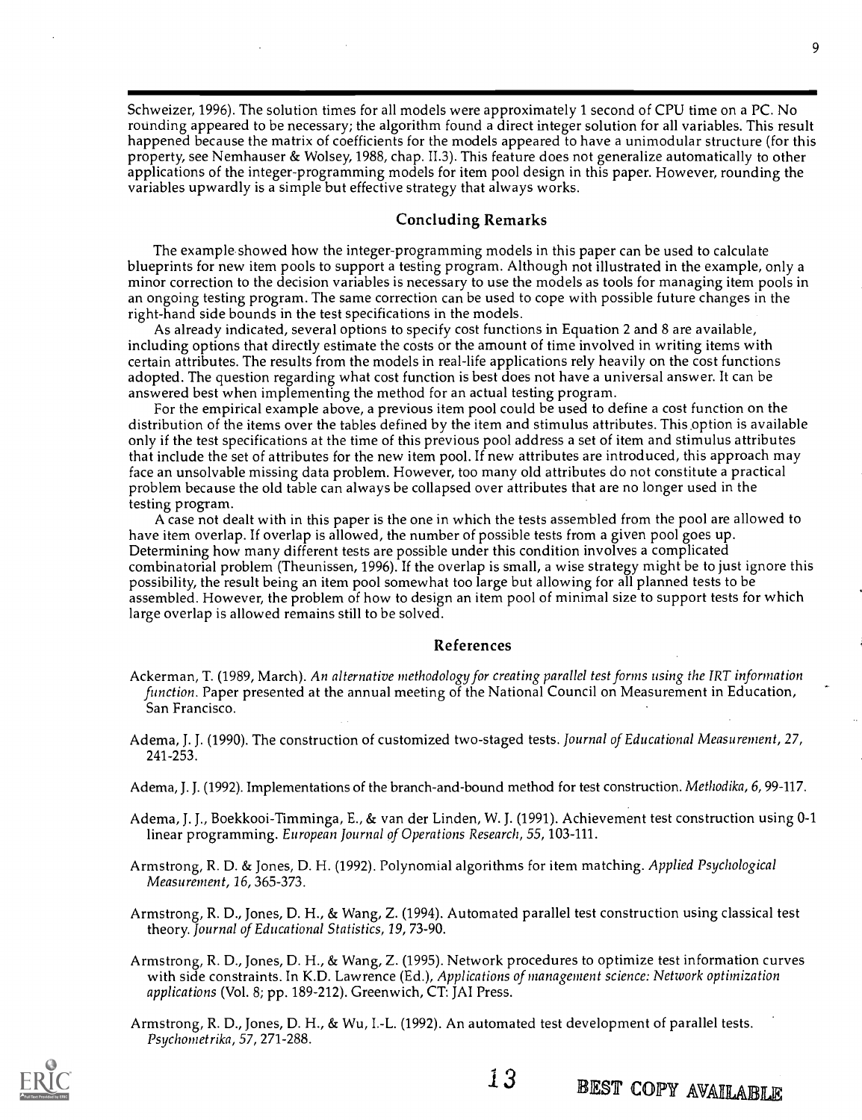Schweizer, 1996). The solution times for all models were approximately 1 second of CPU time on a PC. No rounding appeared to be necessary; the algorithm found a direct integer solution for all variables. This result happened because the matrix of coefficients for the models appeared to have a unimodular structure (for this property, see Nemhauser & Wolsey, 1988, chap. 11.3). This feature does not generalize automatically to other applications of the integer-programming models for item pool design in this paper. However, rounding the variables upwardly is a simple but effective strategy that always works.

#### Concluding Remarks

The example showed how the integer-programming models in this paper can be used to calculate blueprints for new item pools to support a testing program. Although not illustrated in the example, only a minor correction to the decision variables is necessary to use the models as tools for managing item pools in an ongoing testing program. The same correction can be used to cope with possible future changes in the right-hand side bounds in the test specifications in the models.

As already indicated, several options to specify cost functions in Equation 2 and 8 are available, including options that directly estimate the costs or the amount of time involved in writing items with certain attributes. The results from the models in real-life applications rely heavily on the cost functions adopted. The question regarding what cost function is best does not have a universal answer. It can be answered best when implementing the method for an actual testing program.

For the empirical example above, a previous item pool could be used to define a cost function on the distribution of the items over the tables defined by the item and stimulus attributes. This option is available only if the test specifications at the time of this previous pool address a set of item and stimulus attributes that include the set of attributes for the new item pool. If new attributes are introduced, this approach may face an unsolvable missing data problem. However, too many old attributes do not constitute a practical problem because the old table can always be collapsed over attributes that are no longer used in the testing program.

A case not dealt with in this paper is the one in which the tests assembled from the pool are allowed to have item overlap. If overlap is allowed, the number of possible tests from a given pool goes up. Determining how many different tests are possible under this condition involves a complicated combinatorial problem (Theunissen, 1996). If the overlap is small, a wise strategy might be to just ignore this possibility, the result being an item pool somewhat too large but allowing for all planned tests to be assembled. However, the problem of how to design an item pool of minimal size to support tests for which large overlap is allowed remains still to be solved.

#### References

- Ackerman, T. (1989, March). An alternative methodology for creating parallel test forms using the IRT information function. Paper presented at the annual meeting of the National Council on Measurement in Education, San Francisco.
- Adema, J. J. (1990). The construction of customized two-staged tests. Journal of Educational Measurement, 27, 241-253.
- Adema, J. J. (1992). Implementations of the branch-and-bound method for test construction. Methodika, 6, 99-117.
- Adema, J. J., Boekkooi-Timminga, E., & van der Linden, W. J. (1991). Achievement test construction using 0-1 linear programming. European Journal of Operations Research, 55, 103-111.
- Armstrong, R. D. & Jones, D. H. (1992). Polynomial algorithms for item matching. Applied Psychological Measurement, 16, 365-373.
- Armstrong, R. D., Jones, D. H., & Wang, Z. (1994). Automated parallel test construction using classical test theory. Journal of Educational Statistics, 19, 73-90.
- Armstrong, R. D., Jones, D. H., & Wang, Z. (1995). Network procedures to optimize test information curves with side constraints. In K.D. Lawrence (Ed.), Applications of management science: Network optimization applications (Vol. 8; pp. 189-212). Greenwich, CT: JAI Press.
- Armstrong, R. D., Jones, D. H., & Wu, I.-L. (1992). An automated test development of parallel tests. Psychometrika, 57, 271-288.



9

13 BEST COPY AVAILABLE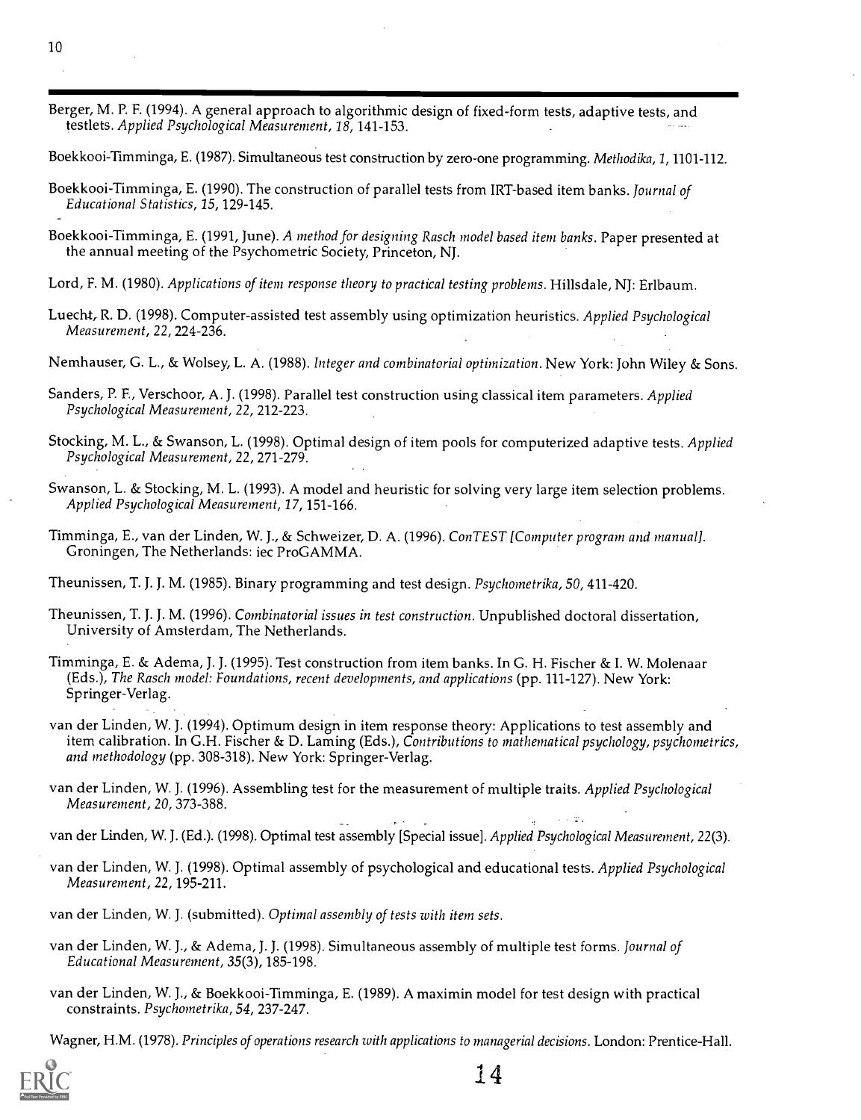Berger, M. P. F. (1994). A general approach to algorithmic design of fixed-form tests, adaptive tests, and testlets. Applied Psychological Measurement, 18, 141-153.

Boekkooi-Timminga, E. (1987). Simultaneous test construction by zero-one programming. Methodika, 1, 1101-112.

- Boekkooi-Timminga, E. (1990). The construction of parallel tests from IRT-based item banks. Journal of Educational Statistics, 15, 129-145.
- Boekkooi-Timminga, E. (1991, June). A method for designing Rasch model based item banks. Paper presented at the annual meeting of the Psychometric Society, Princeton, NJ.
- Lord, F. M. (1980). Applications of item response theory to practical testing problems. Hillsdale, NJ: Erlbaum.
- Luecht, R. D. (1998). Computer-assisted test assembly using optimization heuristics. Applied Psychological Measurement, 22, 224-236.

Nemhauser, G. L., & Wolsey, L. A. (1988). Integer and combinatorial optimization. New York: John Wiley & Sons.

- Sanders, P. F., Verschoor, A. J. (1998). Parallel test construction using classical item parameters. Applied Psychological Measurement, 22, 212-223.
- Stocking, M. L., & Swanson, L. (1998). Optimal design of item pools for computerized adaptive tests. Applied Psychological Measurement, 22, 271-279.
- Swanson, L. & Stocking, M. L. (1993). A model and heuristic for solving very large item selection problems. Applied Psychological Measurement, 17, 151-166.
- Timminga, E., van der Linden, W. J., & Schweizer, D. A. (1996). ConTEST [Computer program and manual]. Groningen, The Netherlands: iec ProGAMMA.

Theunissen, T. J. J. M. (1985). Binary programming and test design. *Psychometrika, 50, 411-420*.

- Theunissen, T. J. J. M. (1996). Combinatorial issues in test construction. Unpublished doctoral dissertation, University of Amsterdam, The Netherlands.
- Timminga, E. Sr Adema, J. J. (1995). Test construction from item banks. In G. H. Fischer & I. W. Molenaar (Eds.), The Rasch model: Foundations, recent developments, and applications (pp. 111-127). New York: Springer-Verlag.
- van der Linden, W. J. (1994). Optimum design in item response theory: Applications to test assembly and item calibration. In G.H. Fischer & D. Laming (Eds.), Contributions to mathematical psychology, psychometrics, and methodology (pp. 308-318). New York: Springer-Verlag.
- van der Linden, W. J. (1996). Assembling test for the measurement of multiple traits. Applied Psychological Measurement, 20, 373-388.

van der Linden, W. J. (Ed.). (1998). Optimal test assembly [Special issue]. Applied Psychological Measurement, 22(3).

van der Linden, W. J. (1998). Optimal assembly of psychological and educational tests. Applied Psychological Measurement, 22, 195-211.

van der Linden, W. J. (submitted). Optimal assembly of tests with item sets.

- van der Linden, W. J., & Adema, J. J. (1998). Simultaneous assembly of multiple test forms. Journal of Educational Measurement, 35(3), 185-198.
- van der Linden, W. J., & Boekkooi-Timminga, E. (1989). A maximin model for test design with practical constraints. Psychometrika, 54, 237-247.

Wagner, H.M. (1978). Principles of operations research with applications to managerial decisions. London: Prentice-Hall.